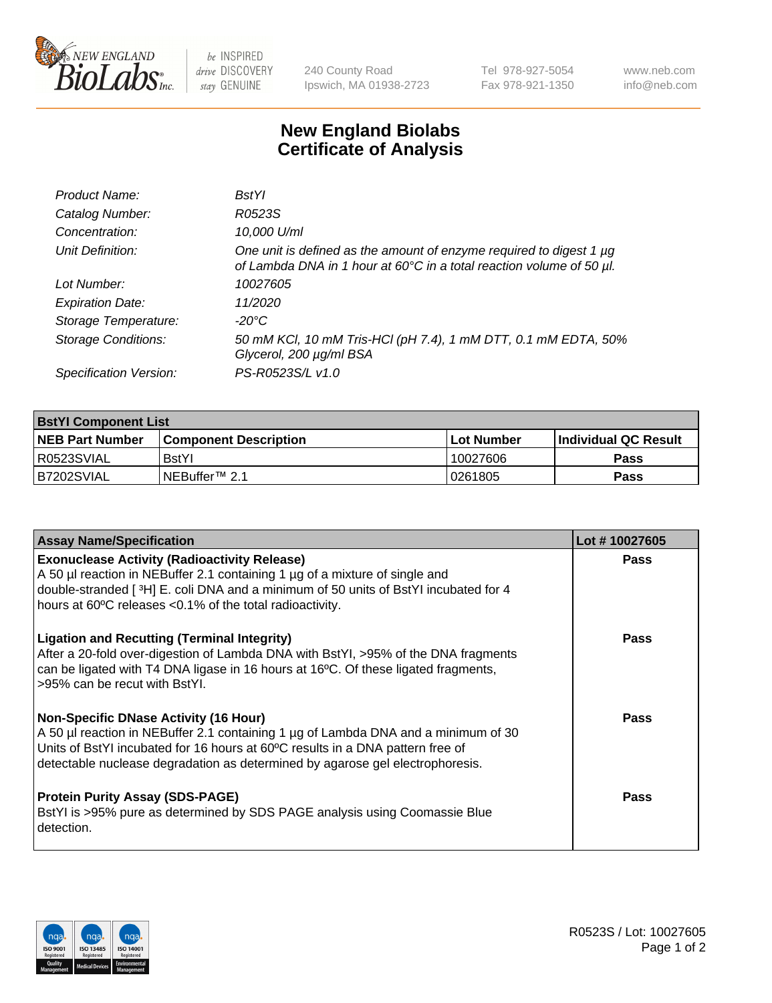

 $be$  INSPIRED drive DISCOVERY stay GENUINE

240 County Road Ipswich, MA 01938-2723 Tel 978-927-5054 Fax 978-921-1350 www.neb.com info@neb.com

## **New England Biolabs Certificate of Analysis**

| Product Name:              | <b>BstYl</b>                                                                                                                                     |
|----------------------------|--------------------------------------------------------------------------------------------------------------------------------------------------|
| Catalog Number:            | R0523S                                                                                                                                           |
| Concentration:             | 10,000 U/ml                                                                                                                                      |
| Unit Definition:           | One unit is defined as the amount of enzyme required to digest $1 \mu g$<br>of Lambda DNA in 1 hour at 60°C in a total reaction volume of 50 µl. |
| Lot Number:                | 10027605                                                                                                                                         |
| <b>Expiration Date:</b>    | 11/2020                                                                                                                                          |
| Storage Temperature:       | -20°C                                                                                                                                            |
| <b>Storage Conditions:</b> | 50 mM KCl, 10 mM Tris-HCl (pH 7.4), 1 mM DTT, 0.1 mM EDTA, 50%<br>Glycerol, 200 µg/ml BSA                                                        |
| Specification Version:     | PS-R0523S/L v1.0                                                                                                                                 |

| <b>BstYl Component List</b> |                              |              |                             |  |  |
|-----------------------------|------------------------------|--------------|-----------------------------|--|--|
| <b>NEB Part Number</b>      | <b>Component Description</b> | l Lot Number | <b>Individual QC Result</b> |  |  |
| I R0523SVIAL                | <b>BstYI</b>                 | 10027606     | <b>Pass</b>                 |  |  |
| B7202SVIAL                  | INEBuffer™ 2.1               | 10261805     | Pass                        |  |  |

| <b>Assay Name/Specification</b>                                                                                                                                                                                                                                                                       | Lot #10027605 |
|-------------------------------------------------------------------------------------------------------------------------------------------------------------------------------------------------------------------------------------------------------------------------------------------------------|---------------|
| <b>Exonuclease Activity (Radioactivity Release)</b><br>A 50 µl reaction in NEBuffer 2.1 containing 1 µg of a mixture of single and<br>double-stranded [3H] E. coli DNA and a minimum of 50 units of BstYl incubated for 4<br>hours at 60°C releases <0.1% of the total radioactivity.                 | Pass          |
| <b>Ligation and Recutting (Terminal Integrity)</b><br>After a 20-fold over-digestion of Lambda DNA with BstYI, >95% of the DNA fragments<br>can be ligated with T4 DNA ligase in 16 hours at 16°C. Of these ligated fragments,<br>>95% can be recut with BstYI.                                       | <b>Pass</b>   |
| <b>Non-Specific DNase Activity (16 Hour)</b><br>A 50 µl reaction in NEBuffer 2.1 containing 1 µg of Lambda DNA and a minimum of 30<br>Units of BstYI incubated for 16 hours at 60°C results in a DNA pattern free of<br>detectable nuclease degradation as determined by agarose gel electrophoresis. | <b>Pass</b>   |
| <b>Protein Purity Assay (SDS-PAGE)</b><br>BstYI is >95% pure as determined by SDS PAGE analysis using Coomassie Blue<br>detection.                                                                                                                                                                    | Pass          |